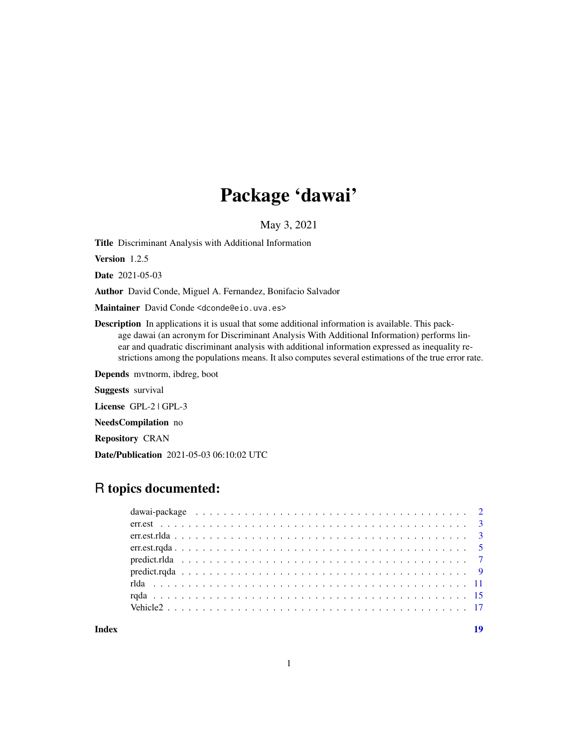# Package 'dawai'

May 3, 2021

<span id="page-0-0"></span>Title Discriminant Analysis with Additional Information

Version 1.2.5

Date 2021-05-03

Author David Conde, Miguel A. Fernandez, Bonifacio Salvador

Maintainer David Conde <dconde@eio.uva.es>

Description In applications it is usual that some additional information is available. This package dawai (an acronym for Discriminant Analysis With Additional Information) performs linear and quadratic discriminant analysis with additional information expressed as inequality restrictions among the populations means. It also computes several estimations of the true error rate.

Depends mvtnorm, ibdreg, boot

Suggests survival

License GPL-2 | GPL-3

NeedsCompilation no

Repository CRAN

Date/Publication 2021-05-03 06:10:02 UTC

# R topics documented:

**Index** 2008 **[19](#page-18-0)99**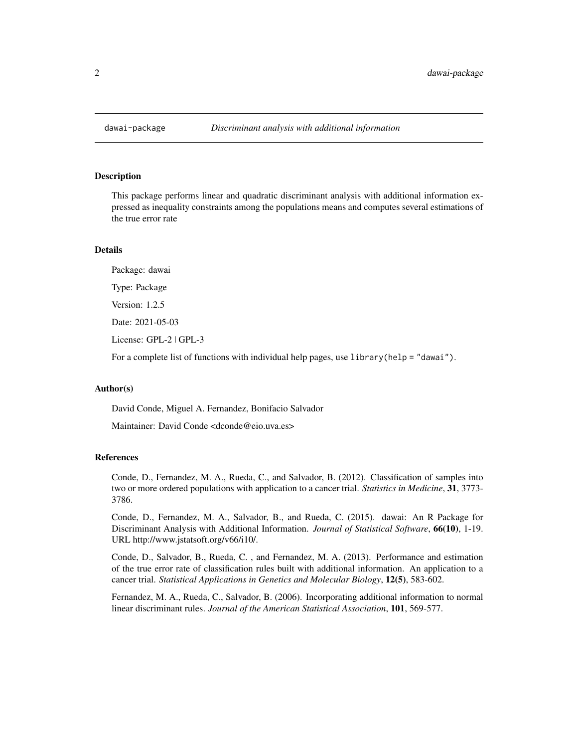<span id="page-1-0"></span>

This package performs linear and quadratic discriminant analysis with additional information expressed as inequality constraints among the populations means and computes several estimations of the true error rate

# Details

Package: dawai

Type: Package

Version: 1.2.5

Date: 2021-05-03

License: GPL-2 | GPL-3

For a complete list of functions with individual help pages, use library(help = "dawai").

#### Author(s)

David Conde, Miguel A. Fernandez, Bonifacio Salvador

Maintainer: David Conde <dconde@eio.uva.es>

# References

Conde, D., Fernandez, M. A., Rueda, C., and Salvador, B. (2012). Classification of samples into two or more ordered populations with application to a cancer trial. *Statistics in Medicine*, 31, 3773- 3786.

Conde, D., Fernandez, M. A., Salvador, B., and Rueda, C. (2015). dawai: An R Package for Discriminant Analysis with Additional Information. *Journal of Statistical Software*, 66(10), 1-19. URL http://www.jstatsoft.org/v66/i10/.

Conde, D., Salvador, B., Rueda, C. , and Fernandez, M. A. (2013). Performance and estimation of the true error rate of classification rules built with additional information. An application to a cancer trial. *Statistical Applications in Genetics and Molecular Biology*, 12(5), 583-602.

Fernandez, M. A., Rueda, C., Salvador, B. (2006). Incorporating additional information to normal linear discriminant rules. *Journal of the American Statistical Association*, 101, 569-577.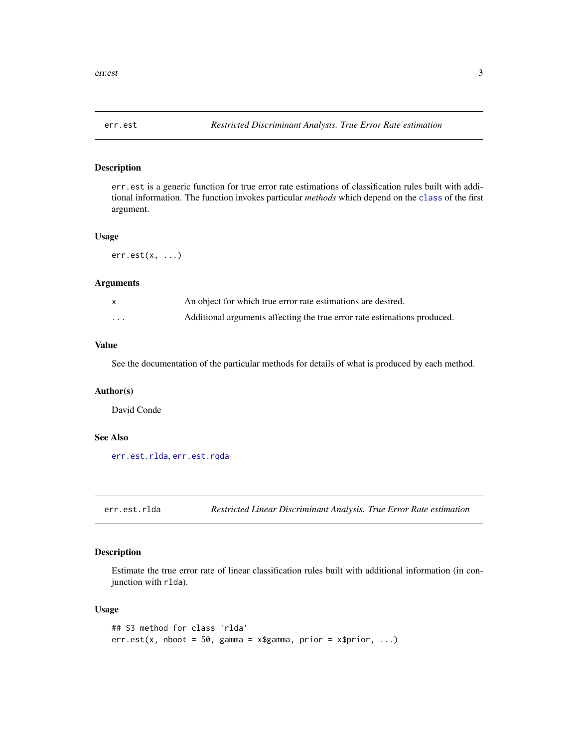<span id="page-2-2"></span><span id="page-2-0"></span>

err.est is a generic function for true error rate estimations of classification rules built with additional information. The function invokes particular *methods* which depend on the [class](#page-0-0) of the first argument.

#### Usage

err.est(x, ...)

#### Arguments

|   | An object for which true error rate estimations are desired.             |
|---|--------------------------------------------------------------------------|
| . | Additional arguments affecting the true error rate estimations produced. |

# Value

See the documentation of the particular methods for details of what is produced by each method.

#### Author(s)

David Conde

# See Also

[err.est.rlda](#page-2-1), [err.est.rqda](#page-4-1)

<span id="page-2-1"></span>err.est.rlda *Restricted Linear Discriminant Analysis. True Error Rate estimation*

## Description

Estimate the true error rate of linear classification rules built with additional information (in conjunction with rlda).

### Usage

```
## S3 method for class 'rlda'
err.est(x, nboot = 50, gamma = x$gamma, prior = x$prior, ...)
```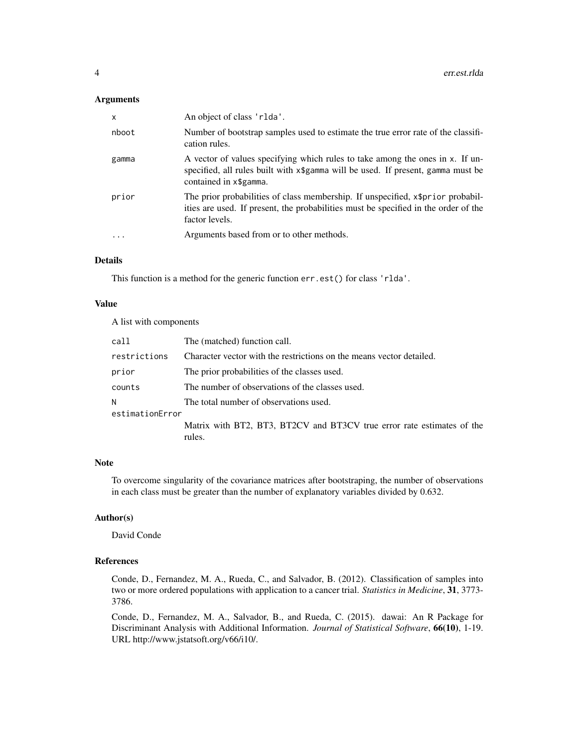# Arguments

| X     | An object of class 'rlda'.                                                                                                                                                                  |
|-------|---------------------------------------------------------------------------------------------------------------------------------------------------------------------------------------------|
| nboot | Number of bootstrap samples used to estimate the true error rate of the classifi-<br>cation rules.                                                                                          |
| gamma | A vector of values specifying which rules to take among the ones in x. If un-<br>specified, all rules built with x\$gamma will be used. If present, gamma must be<br>contained in x\$gamma. |
| prior | The prior probabilities of class membership. If unspecified, x\$prior probabil-<br>ities are used. If present, the probabilities must be specified in the order of the<br>factor levels.    |
| .     | Arguments based from or to other methods.                                                                                                                                                   |

# Details

This function is a method for the generic function err.est() for class 'rlda'.

# Value

A list with components

| call            | The (matched) function call.                                           |
|-----------------|------------------------------------------------------------------------|
| restrictions    | Character vector with the restrictions on the means vector detailed.   |
| prior           | The prior probabilities of the classes used.                           |
| counts          | The number of observations of the classes used.                        |
| Ν               | The total number of observations used.                                 |
| estimationError |                                                                        |
|                 | Matrix with BT2, BT3, BT2CV and BT3CV true error rate estimates of the |
|                 | rules.                                                                 |

# Note

To overcome singularity of the covariance matrices after bootstraping, the number of observations in each class must be greater than the number of explanatory variables divided by 0.632.

# Author(s)

David Conde

# References

Conde, D., Fernandez, M. A., Rueda, C., and Salvador, B. (2012). Classification of samples into two or more ordered populations with application to a cancer trial. *Statistics in Medicine*, 31, 3773- 3786.

Conde, D., Fernandez, M. A., Salvador, B., and Rueda, C. (2015). dawai: An R Package for Discriminant Analysis with Additional Information. *Journal of Statistical Software*, 66(10), 1-19. URL http://www.jstatsoft.org/v66/i10/.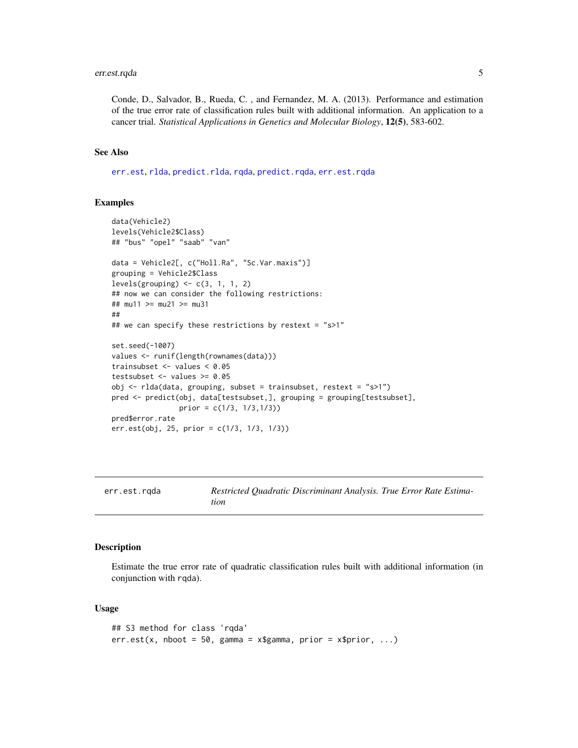# <span id="page-4-0"></span>err.est.rqda 5

Conde, D., Salvador, B., Rueda, C. , and Fernandez, M. A. (2013). Performance and estimation of the true error rate of classification rules built with additional information. An application to a cancer trial. *Statistical Applications in Genetics and Molecular Biology*, 12(5), 583-602.

#### See Also

[err.est](#page-2-2), [rlda](#page-10-1), [predict.rlda](#page-6-1), [rqda](#page-14-1), [predict.rqda](#page-8-1), [err.est.rqda](#page-4-1)

# Examples

```
data(Vehicle2)
levels(Vehicle2$Class)
## "bus" "opel" "saab" "van"
data = Vehicle2[, c("Holl.Ra", "Sc.Var.maxis")]
grouping = Vehicle2$Class
levels(grouping) \leftarrow c(3, 1, 1, 2)
## now we can consider the following restrictions:
## mu11 >= mu21 >= mu31
##
## we can specify these restrictions by restext = "s>1"
set.seed(-1007)
values <- runif(length(rownames(data)))
trainsubset <- values < 0.05
testsubset <- values >= 0.05
obj <- rlda(data, grouping, subset = trainsubset, restext = "s>1")
pred <- predict(obj, data[testsubset,], grouping = grouping[testsubset],
                prior = c(1/3, 1/3,1/3))
pred$error.rate
err.est(obj, 25, prior = c(1/3, 1/3, 1/3))
```
<span id="page-4-1"></span>err.est.rqda *Restricted Quadratic Discriminant Analysis. True Error Rate Estimation*

#### **Description**

Estimate the true error rate of quadratic classification rules built with additional information (in conjunction with rqda).

#### Usage

```
## S3 method for class 'rqda'
err.est(x, nboot = 50, gamma = x\gamma, prior = x\grior, ...)
```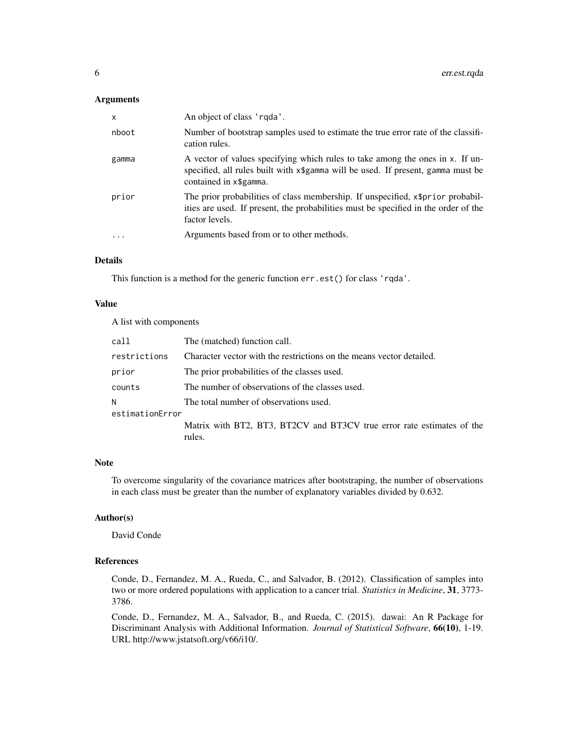## Arguments

| X         | An object of class 'rgda'.                                                                                                                                                                  |
|-----------|---------------------------------------------------------------------------------------------------------------------------------------------------------------------------------------------|
| nboot     | Number of bootstrap samples used to estimate the true error rate of the classifi-<br>cation rules.                                                                                          |
| gamma     | A vector of values specifying which rules to take among the ones in x. If un-<br>specified, all rules built with x\$gamma will be used. If present, gamma must be<br>contained in x\$gamma. |
| prior     | The prior probabilities of class membership. If unspecified, x\$prior probabil-<br>ities are used. If present, the probabilities must be specified in the order of the<br>factor levels.    |
| $\ddotsc$ | Arguments based from or to other methods.                                                                                                                                                   |

# Details

This function is a method for the generic function err.est() for class 'rqda'.

# Value

A list with components

| call            | The (matched) function call.                                           |
|-----------------|------------------------------------------------------------------------|
| restrictions    | Character vector with the restrictions on the means vector detailed.   |
| prior           | The prior probabilities of the classes used.                           |
| counts          | The number of observations of the classes used.                        |
| Ν               | The total number of observations used.                                 |
| estimationError |                                                                        |
|                 | Matrix with BT2, BT3, BT2CV and BT3CV true error rate estimates of the |
|                 | rules.                                                                 |

# Note

To overcome singularity of the covariance matrices after bootstraping, the number of observations in each class must be greater than the number of explanatory variables divided by 0.632.

# Author(s)

David Conde

# References

Conde, D., Fernandez, M. A., Rueda, C., and Salvador, B. (2012). Classification of samples into two or more ordered populations with application to a cancer trial. *Statistics in Medicine*, 31, 3773- 3786.

Conde, D., Fernandez, M. A., Salvador, B., and Rueda, C. (2015). dawai: An R Package for Discriminant Analysis with Additional Information. *Journal of Statistical Software*, 66(10), 1-19. URL http://www.jstatsoft.org/v66/i10/.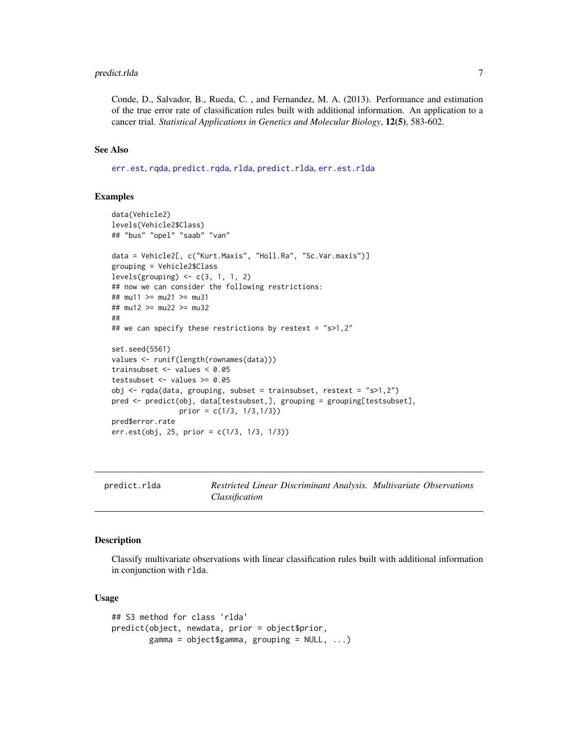# <span id="page-6-0"></span>predict.rlda 7

Conde, D., Salvador, B., Rueda, C. , and Fernandez, M. A. (2013). Performance and estimation of the true error rate of classification rules built with additional information. An application to a cancer trial. *Statistical Applications in Genetics and Molecular Biology*, 12(5), 583-602.

# See Also

[err.est](#page-2-2), [rqda](#page-14-1), [predict.rqda](#page-8-1), [rlda](#page-10-1), [predict.rlda](#page-6-1), [err.est.rlda](#page-2-1)

#### Examples

```
data(Vehicle2)
levels(Vehicle2$Class)
## "bus" "opel" "saab" "van"
data = Vehicle2[, c("Kurt.Maxis", "Holl.Ra", "Sc.Var.maxis")]
grouping = Vehicle2$Class
levels(grouping) \leq c(3, 1, 1, 2)## now we can consider the following restrictions:
## mu11 >= mu21 >= mu31
## mu12 >= mu22 >= mu32
##
## we can specify these restrictions by restext = "s>1,2"
set.seed(5561)
values <- runif(length(rownames(data)))
trainsubset <- values < 0.05
testsubset <- values >= 0.05
obj <- rqda(data, grouping, subset = trainsubset, restext = "s>1,2")
pred <- predict(obj, data[testsubset,], grouping = grouping[testsubset],
                prior = c(1/3, 1/3, 1/3)pred$error.rate
err.est(obj, 25, prior = c(1/3, 1/3, 1/3))
```
<span id="page-6-1"></span>

predict.rlda *Restricted Linear Discriminant Analysis. Multivariate Observations Classification*

#### **Description**

Classify multivariate observations with linear classification rules built with additional information in conjunction with rlda.

### Usage

```
## S3 method for class 'rlda'
predict(object, newdata, prior = object$prior,
       gamma = object$gamma, grouping = NULL, ...)
```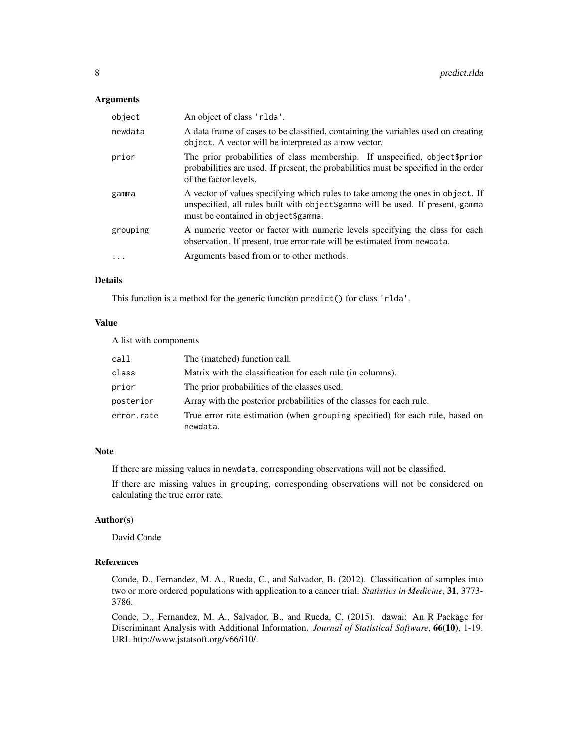#### Arguments

| object    | An object of class 'rlda'.                                                                                                                                                                                |
|-----------|-----------------------------------------------------------------------------------------------------------------------------------------------------------------------------------------------------------|
| newdata   | A data frame of cases to be classified, containing the variables used on creating<br>object. A vector will be interpreted as a row vector.                                                                |
| prior     | The prior probabilities of class membership. If unspecified, object \$prior<br>probabilities are used. If present, the probabilities must be specified in the order<br>of the factor levels.              |
| gamma     | A vector of values specifying which rules to take among the ones in object. If<br>unspecified, all rules built with object \$gamma will be used. If present, gamma<br>must be contained in object\$gamma. |
| grouping  | A numeric vector or factor with numeric levels specifying the class for each<br>observation. If present, true error rate will be estimated from newdata.                                                  |
| $\ddotsc$ | Arguments based from or to other methods.                                                                                                                                                                 |

# Details

This function is a method for the generic function predict() for class 'rlda'.

# Value

A list with components

| call       | The (matched) function call.                                                             |
|------------|------------------------------------------------------------------------------------------|
| class      | Matrix with the classification for each rule (in columns).                               |
| prior      | The prior probabilities of the classes used.                                             |
| posterior  | Array with the posterior probabilities of the classes for each rule.                     |
| error.rate | True error rate estimation (when grouping specified) for each rule, based on<br>newdata. |

# Note

If there are missing values in newdata, corresponding observations will not be classified.

If there are missing values in grouping, corresponding observations will not be considered on calculating the true error rate.

# Author(s)

David Conde

# References

Conde, D., Fernandez, M. A., Rueda, C., and Salvador, B. (2012). Classification of samples into two or more ordered populations with application to a cancer trial. *Statistics in Medicine*, 31, 3773- 3786.

Conde, D., Fernandez, M. A., Salvador, B., and Rueda, C. (2015). dawai: An R Package for Discriminant Analysis with Additional Information. *Journal of Statistical Software*, 66(10), 1-19. URL http://www.jstatsoft.org/v66/i10/.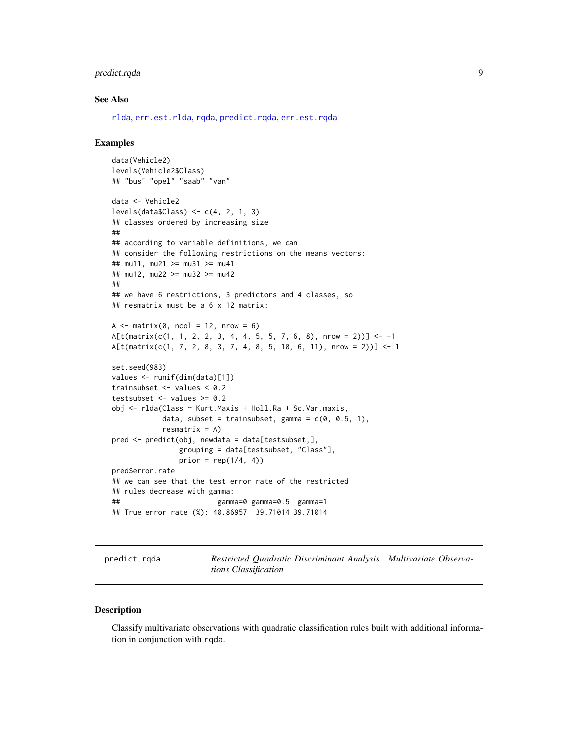# <span id="page-8-0"></span>predict.rqda 9

## See Also

[rlda](#page-10-1), [err.est.rlda](#page-2-1), [rqda](#page-14-1), [predict.rqda](#page-8-1), [err.est.rqda](#page-4-1)

#### Examples

```
data(Vehicle2)
levels(Vehicle2$Class)
## "bus" "opel" "saab" "van"
data <- Vehicle2
levels(dataClass) <- c(4, 2, 1, 3)## classes ordered by increasing size
##
## according to variable definitions, we can
## consider the following restrictions on the means vectors:
## mu11, mu21 >= mu31 >= mu41
## mu12, mu22 >= mu32 >= mu42
##
## we have 6 restrictions, 3 predictors and 4 classes, so
## resmatrix must be a 6 x 12 matrix:
A \leq matrix(0, ncol = 12, nrow = 6)
A[t(matrix(c(1, 1, 2, 2, 3, 4, 4, 5, 5, 7, 6, 8), nrow = 2))] < -1A[t(matrix(c(1, 7, 2, 8, 3, 7, 4, 8, 5, 10, 6, 11), nrow = 2))] <- 1
set.seed(983)
values <- runif(dim(data)[1])
trainsubset <- values < 0.2
testsubset <- values >= 0.2obj <- rlda(Class ~ Kurt.Maxis + Holl.Ra + Sc.Var.maxis,
           data, subset = trainsubset, gamma = c(0, 0.5, 1),
           resmatrix = A)pred <- predict(obj, newdata = data[testsubset,],
               grouping = data[testsubset, "Class"],
                prior = rep(1/4, 4)pred$error.rate
## we can see that the test error rate of the restricted
## rules decrease with gamma:
## gamma=0 gamma=0.5 gamma=1
## True error rate (%): 40.86957 39.71014 39.71014
```
<span id="page-8-1"></span>predict.rqda *Restricted Quadratic Discriminant Analysis. Multivariate Observations Classification*

## Description

Classify multivariate observations with quadratic classification rules built with additional information in conjunction with rqda.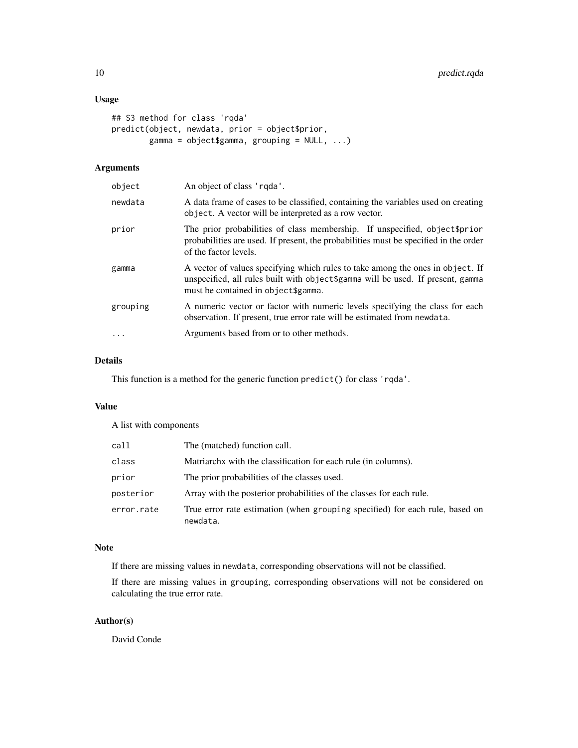# Usage

```
## S3 method for class 'rqda'
predict(object, newdata, prior = object$prior,
        gamma = object$gamma, grouping = NULL, ...)
```
# Arguments

| object   | An object of class 'rgda'.                                                                                                                                                                                |
|----------|-----------------------------------------------------------------------------------------------------------------------------------------------------------------------------------------------------------|
| newdata  | A data frame of cases to be classified, containing the variables used on creating<br>object. A vector will be interpreted as a row vector.                                                                |
| prior    | The prior probabilities of class membership. If unspecified, object \$prior<br>probabilities are used. If present, the probabilities must be specified in the order<br>of the factor levels.              |
| gamma    | A vector of values specifying which rules to take among the ones in object. If<br>unspecified, all rules built with object \$gamma will be used. If present, gamma<br>must be contained in object\$gamma. |
| grouping | A numeric vector or factor with numeric levels specifying the class for each<br>observation. If present, true error rate will be estimated from newdata.                                                  |
| $\cdot$  | Arguments based from or to other methods.                                                                                                                                                                 |
|          |                                                                                                                                                                                                           |

# Details

This function is a method for the generic function predict() for class 'rqda'.

# Value

A list with components

| call       | The (matched) function call.                                                             |
|------------|------------------------------------------------------------------------------------------|
| class      | Matriarchx with the classification for each rule (in columns).                           |
| prior      | The prior probabilities of the classes used.                                             |
| posterior  | Array with the posterior probabilities of the classes for each rule.                     |
| error.rate | True error rate estimation (when grouping specified) for each rule, based on<br>newdata. |

# Note

If there are missing values in newdata, corresponding observations will not be classified.

If there are missing values in grouping, corresponding observations will not be considered on calculating the true error rate.

# Author(s)

David Conde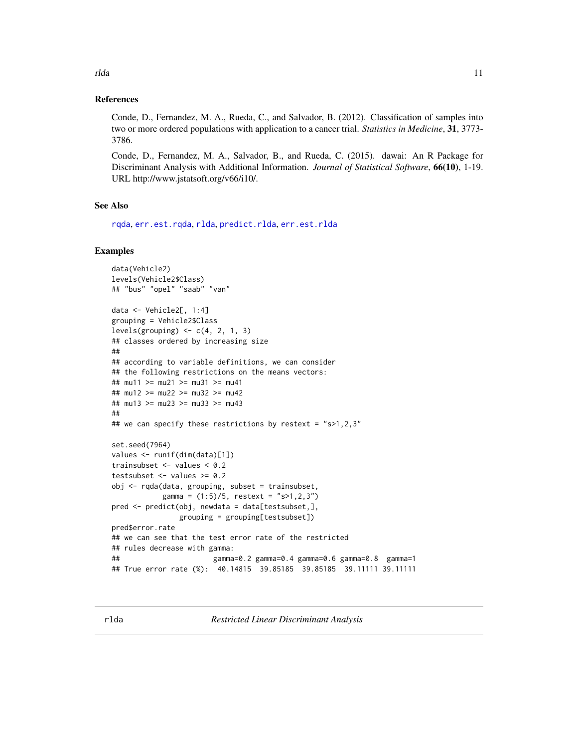# References

Conde, D., Fernandez, M. A., Rueda, C., and Salvador, B. (2012). Classification of samples into two or more ordered populations with application to a cancer trial. *Statistics in Medicine*, 31, 3773- 3786.

Conde, D., Fernandez, M. A., Salvador, B., and Rueda, C. (2015). dawai: An R Package for Discriminant Analysis with Additional Information. *Journal of Statistical Software*, 66(10), 1-19. URL http://www.jstatsoft.org/v66/i10/.

# See Also

[rqda](#page-14-1), [err.est.rqda](#page-4-1), [rlda](#page-10-1), [predict.rlda](#page-6-1), [err.est.rlda](#page-2-1)

#### Examples

```
data(Vehicle2)
levels(Vehicle2$Class)
## "bus" "opel" "saab" "van"
data <- Vehicle2[, 1:4]
grouping = Vehicle2$Class
levels(grouping) \leq c(4, 2, 1, 3)## classes ordered by increasing size
##
## according to variable definitions, we can consider
## the following restrictions on the means vectors:
## mu11 >= mu21 >= mu31 >= mu41
## mu12 >= mu22 >= mu32 >= mu42
## mu13 >= mu23 >= mu33 >= mu43
##
## we can specify these restrictions by restext = "s>1,2,3"set.seed(7964)
values <- runif(dim(data)[1])
trainsubset <- values < 0.2
testsubset <- values >= 0.2obj <- rqda(data, grouping, subset = trainsubset,
           gamma = (1:5)/5, restext = "s>1,2,3")
pred <- predict(obj, newdata = data[testsubset,],
               grouping = grouping[testsubset])
pred$error.rate
## we can see that the test error rate of the restricted
## rules decrease with gamma:
## gamma=0.2 gamma=0.4 gamma=0.6 gamma=0.8 gamma=1
## True error rate (%): 40.14815 39.85185 39.85185 39.11111 39.11111
```
<span id="page-10-0"></span>rlda til 11. oktober 11. oktober 11. oktober 11. oktober 11. oktober 11. oktober 11. oktober 11. oktober 11. ok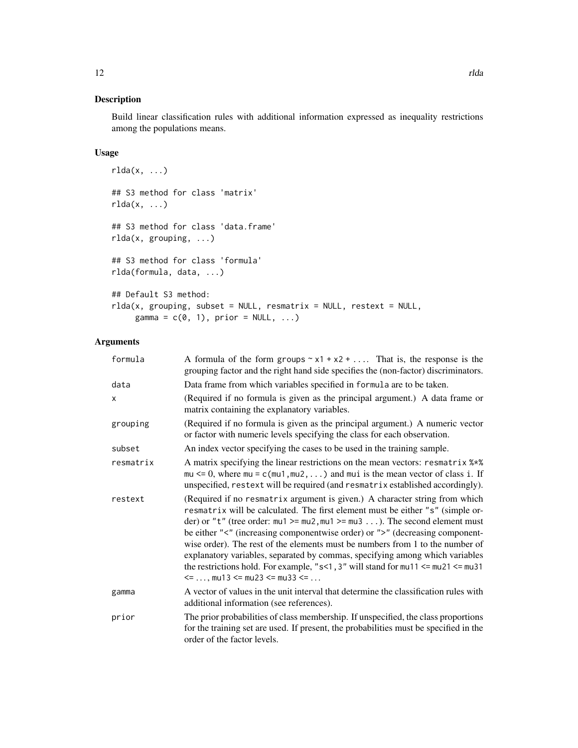Build linear classification rules with additional information expressed as inequality restrictions among the populations means.

# Usage

```
rlda(x, ...)
## S3 method for class 'matrix'
rlda(x, ...)
## S3 method for class 'data.frame'
rlda(x, grouping, ...)
## S3 method for class 'formula'
rlda(formula, data, ...)
## Default S3 method:
rlda(x, grouping, subset = NULL, resmatrix = NULL, restext = NULL,gamma = c(0, 1), prior = NULL, ...)
```
# Arguments

| formula   | A formula of the form groups $\sim x1 + x2 + $ That is, the response is the<br>grouping factor and the right hand side specifies the (non-factor) discriminators.                                                                                                                                                                                                                                                                                                                                                                                                                                                                           |
|-----------|---------------------------------------------------------------------------------------------------------------------------------------------------------------------------------------------------------------------------------------------------------------------------------------------------------------------------------------------------------------------------------------------------------------------------------------------------------------------------------------------------------------------------------------------------------------------------------------------------------------------------------------------|
| data      | Data frame from which variables specified in formula are to be taken.                                                                                                                                                                                                                                                                                                                                                                                                                                                                                                                                                                       |
| x         | (Required if no formula is given as the principal argument.) A data frame or<br>matrix containing the explanatory variables.                                                                                                                                                                                                                                                                                                                                                                                                                                                                                                                |
| grouping  | (Required if no formula is given as the principal argument.) A numeric vector<br>or factor with numeric levels specifying the class for each observation.                                                                                                                                                                                                                                                                                                                                                                                                                                                                                   |
| subset    | An index vector specifying the cases to be used in the training sample.                                                                                                                                                                                                                                                                                                                                                                                                                                                                                                                                                                     |
| resmatrix | A matrix specifying the linear restrictions on the mean vectors: resmatrix %*%<br>$mu \le 0$ , where $mu = c$ ( $mu1$ , $mu2$ , ) and $mu$ is the mean vector of class i. If<br>unspecified, restext will be required (and resmatrix established accordingly).                                                                                                                                                                                                                                                                                                                                                                              |
| restext   | (Required if no resmatrix argument is given.) A character string from which<br>resmatrix will be calculated. The first element must be either "s" (simple or-<br>der) or "t" (tree order: $mu1 \ge mu2$ , $mu1 \ge mu3$ ). The second element must<br>be either "<" (increasing componentwise order) or ">" (decreasing component-<br>wise order). The rest of the elements must be numbers from 1 to the number of<br>explanatory variables, separated by commas, specifying among which variables<br>the restrictions hold. For example, " $s$ <1, 3" will stand for $mu11 \le mu21 \le mu31$<br>$\le$ , mu13 $\le$ mu23 $\le$ mu33 $\le$ |
| gamma     | A vector of values in the unit interval that determine the classification rules with<br>additional information (see references).                                                                                                                                                                                                                                                                                                                                                                                                                                                                                                            |
| prior     | The prior probabilities of class membership. If unspecified, the class proportions<br>for the training set are used. If present, the probabilities must be specified in the<br>order of the factor levels.                                                                                                                                                                                                                                                                                                                                                                                                                                  |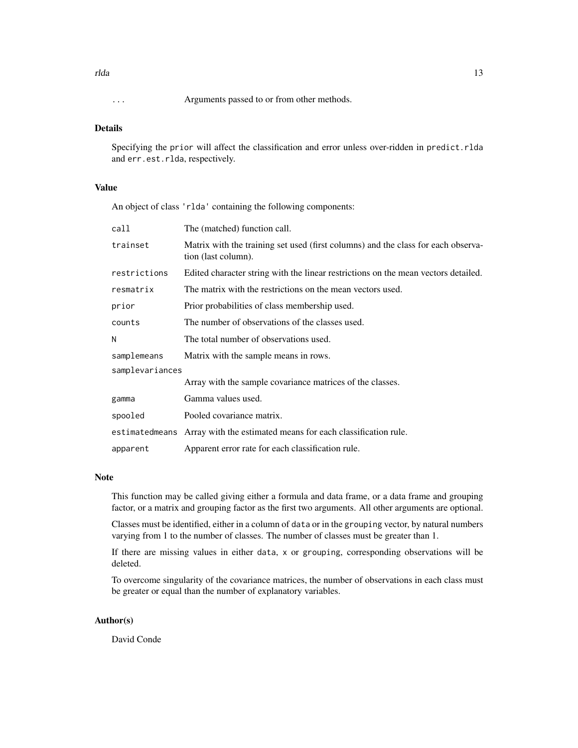# Details

Specifying the prior will affect the classification and error unless over-ridden in predict.rlda and err.est.rlda, respectively.

# Value

An object of class 'rlda' containing the following components:

| The (matched) function call.                                                                             |  |  |
|----------------------------------------------------------------------------------------------------------|--|--|
| Matrix with the training set used (first columns) and the class for each observa-<br>tion (last column). |  |  |
| Edited character string with the linear restrictions on the mean vectors detailed.                       |  |  |
| The matrix with the restrictions on the mean vectors used.                                               |  |  |
| Prior probabilities of class membership used.                                                            |  |  |
| The number of observations of the classes used.                                                          |  |  |
| The total number of observations used.                                                                   |  |  |
| Matrix with the sample means in rows.                                                                    |  |  |
| samplevariances                                                                                          |  |  |
| Array with the sample covariance matrices of the classes.                                                |  |  |
| Gamma values used.                                                                                       |  |  |
| Pooled covariance matrix.                                                                                |  |  |
| estimated means Array with the estimated means for each classification rule.                             |  |  |
| Apparent error rate for each classification rule.                                                        |  |  |
|                                                                                                          |  |  |

#### Note

This function may be called giving either a formula and data frame, or a data frame and grouping factor, or a matrix and grouping factor as the first two arguments. All other arguments are optional.

Classes must be identified, either in a column of data or in the grouping vector, by natural numbers varying from 1 to the number of classes. The number of classes must be greater than 1.

If there are missing values in either data, x or grouping, corresponding observations will be deleted.

To overcome singularity of the covariance matrices, the number of observations in each class must be greater or equal than the number of explanatory variables.

#### Author(s)

David Conde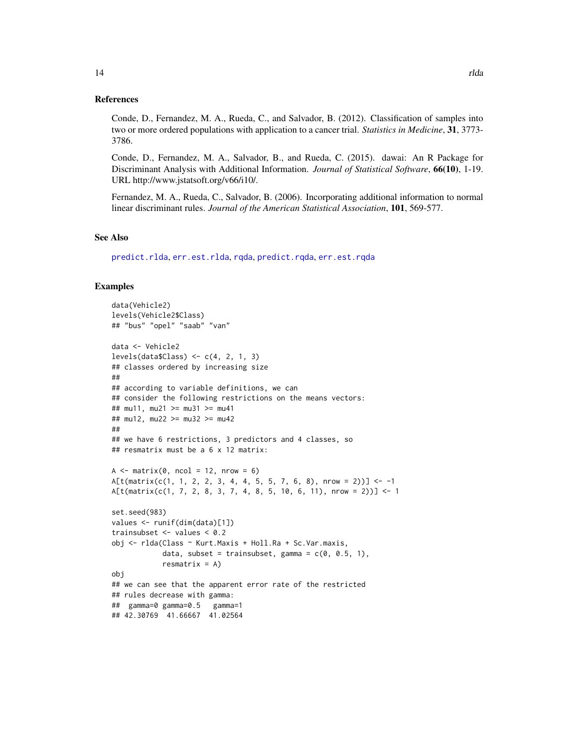#### <span id="page-13-0"></span>References

Conde, D., Fernandez, M. A., Rueda, C., and Salvador, B. (2012). Classification of samples into two or more ordered populations with application to a cancer trial. *Statistics in Medicine*, 31, 3773- 3786.

Conde, D., Fernandez, M. A., Salvador, B., and Rueda, C. (2015). dawai: An R Package for Discriminant Analysis with Additional Information. *Journal of Statistical Software*, 66(10), 1-19. URL http://www.jstatsoft.org/v66/i10/.

Fernandez, M. A., Rueda, C., Salvador, B. (2006). Incorporating additional information to normal linear discriminant rules. *Journal of the American Statistical Association*, 101, 569-577.

# See Also

[predict.rlda](#page-6-1), [err.est.rlda](#page-2-1), [rqda](#page-14-1), [predict.rqda](#page-8-1), [err.est.rqda](#page-4-1)

# Examples

```
data(Vehicle2)
levels(Vehicle2$Class)
## "bus" "opel" "saab" "van"
data <- Vehicle2
levels(data$Class) <- c(4, 2, 1, 3)
## classes ordered by increasing size
##
## according to variable definitions, we can
## consider the following restrictions on the means vectors:
## mu11, mu21 >= mu31 >= mu41
## mu12, mu22 >= mu32 >= mu42
##
## we have 6 restrictions, 3 predictors and 4 classes, so
## resmatrix must be a 6 x 12 matrix:
A \leq - matrix(0, ncol = 12, nrow = 6)
A[t(matrix(c(1, 1, 2, 2, 3, 4, 4, 5, 5, 7, 6, 8), nrow = 2))] < -1A[t(matrix(c(1, 7, 2, 8, 3, 7, 4, 8, 5, 10, 6, 11), nrow = 2))] <- 1
set.seed(983)
values <- runif(dim(data)[1])
trainsubset <- values < 0.2
obj <- rlda(Class ~ Kurt.Maxis + Holl.Ra + Sc.Var.maxis,
            data, subset = trainsubset, gamma = c(0, 0.5, 1),
            resmatrix = A)obj
## we can see that the apparent error rate of the restricted
## rules decrease with gamma:
## gamma=0 gamma=0.5 gamma=1
## 42.30769 41.66667 41.02564
```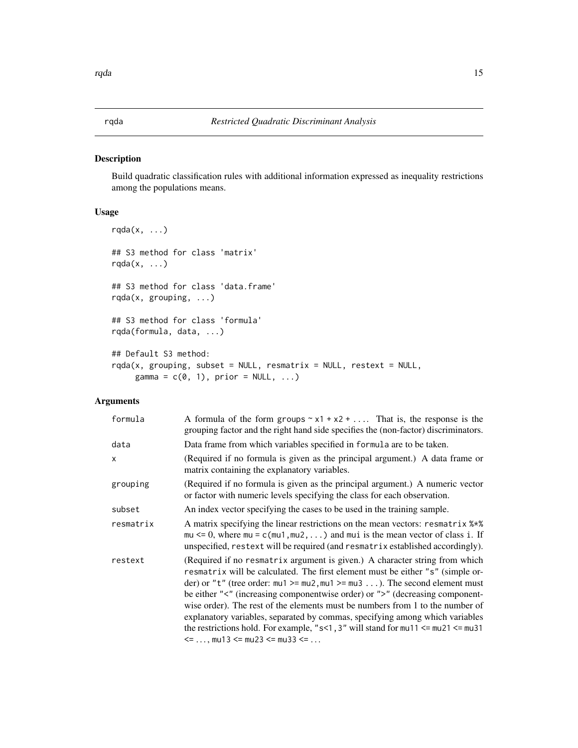<span id="page-14-1"></span><span id="page-14-0"></span>Build quadratic classification rules with additional information expressed as inequality restrictions among the populations means.

# Usage

```
rqda(x, \ldots)## S3 method for class 'matrix'
rqda(x, \ldots)## S3 method for class 'data.frame'
rqda(x, grouping, ...)
## S3 method for class 'formula'
rqda(formula, data, ...)
## Default S3 method:
rqda(x, grouping, subset = NULL, resmatrix = NULL, restext = NULL,gamma = c(0, 1), prior = NULL, ...)
```
# Arguments

| formula   | A formula of the form groups $\sim x1 + x2 + $ That is, the response is the<br>grouping factor and the right hand side specifies the (non-factor) discriminators.                                                                                                                                                                                                                                                                                                                                                                                                                                                                                     |
|-----------|-------------------------------------------------------------------------------------------------------------------------------------------------------------------------------------------------------------------------------------------------------------------------------------------------------------------------------------------------------------------------------------------------------------------------------------------------------------------------------------------------------------------------------------------------------------------------------------------------------------------------------------------------------|
| data      | Data frame from which variables specified in formula are to be taken.                                                                                                                                                                                                                                                                                                                                                                                                                                                                                                                                                                                 |
| X         | (Required if no formula is given as the principal argument.) A data frame or<br>matrix containing the explanatory variables.                                                                                                                                                                                                                                                                                                                                                                                                                                                                                                                          |
| grouping  | (Required if no formula is given as the principal argument.) A numeric vector<br>or factor with numeric levels specifying the class for each observation.                                                                                                                                                                                                                                                                                                                                                                                                                                                                                             |
| subset    | An index vector specifying the cases to be used in the training sample.                                                                                                                                                                                                                                                                                                                                                                                                                                                                                                                                                                               |
| resmatrix | A matrix specifying the linear restrictions on the mean vectors: resmatrix $\frac{1}{2}$<br>$mu \le 0$ , where $mu = c$ ( $mu1$ , $mu2$ , ) and $mu$ is the mean vector of class i. If<br>unspecified, restext will be required (and resmatrix established accordingly).                                                                                                                                                                                                                                                                                                                                                                              |
| restext   | (Required if no resmatrix argument is given.) A character string from which<br>resmatrix will be calculated. The first element must be either "s" (simple or-<br>der) or "t" (tree order: $mu1 \ge mu2$ , $mu1 \ge mu3$ ). The second element must<br>be either "<" (increasing componentwise order) or ">" (decreasing component-<br>wise order). The rest of the elements must be numbers from 1 to the number of<br>explanatory variables, separated by commas, specifying among which variables<br>the restrictions hold. For example, " $s < 1$ , 3" will stand for mu11 $\le m$ u21 $\le m$ u31<br>$\le$ = , mu13 $\le$ mu23 $\le$ mu33 $\le$ = |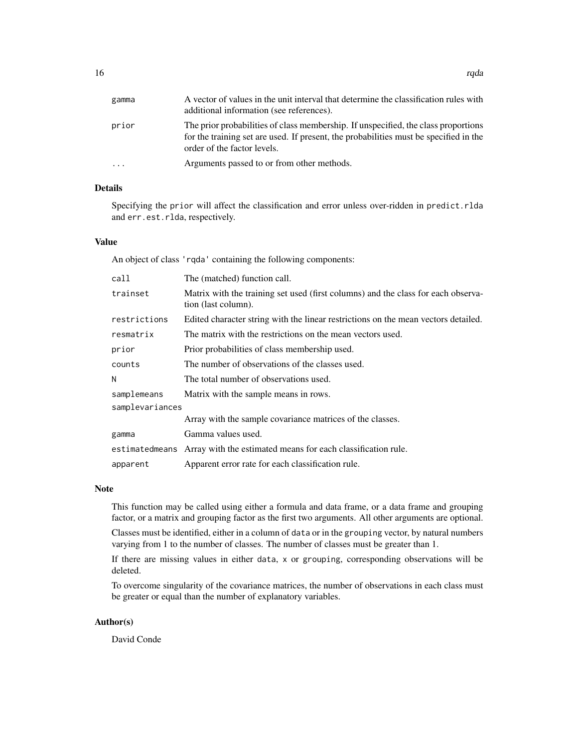| gamma | A vector of values in the unit interval that determine the classification rules with<br>additional information (see references).                                                                           |
|-------|------------------------------------------------------------------------------------------------------------------------------------------------------------------------------------------------------------|
| prior | The prior probabilities of class membership. If unspecified, the class proportions<br>for the training set are used. If present, the probabilities must be specified in the<br>order of the factor levels. |
| .     | Arguments passed to or from other methods.                                                                                                                                                                 |

# Details

Specifying the prior will affect the classification and error unless over-ridden in predict.rlda and err.est.rlda, respectively.

#### Value

An object of class 'rqda' containing the following components:

| call            | The (matched) function call.                                                                             |  |
|-----------------|----------------------------------------------------------------------------------------------------------|--|
| trainset        | Matrix with the training set used (first columns) and the class for each observa-<br>tion (last column). |  |
| restrictions    | Edited character string with the linear restrictions on the mean vectors detailed.                       |  |
| resmatrix       | The matrix with the restrictions on the mean vectors used.                                               |  |
| prior           | Prior probabilities of class membership used.                                                            |  |
| counts          | The number of observations of the classes used.                                                          |  |
| N               | The total number of observations used.                                                                   |  |
| samplemeans     | Matrix with the sample means in rows.                                                                    |  |
| samplevariances |                                                                                                          |  |
|                 | Array with the sample covariance matrices of the classes.                                                |  |
| gamma           | Gamma values used.                                                                                       |  |
|                 | estimated means Array with the estimated means for each classification rule.                             |  |
| apparent        | Apparent error rate for each classification rule.                                                        |  |

# Note

This function may be called using either a formula and data frame, or a data frame and grouping factor, or a matrix and grouping factor as the first two arguments. All other arguments are optional.

Classes must be identified, either in a column of data or in the grouping vector, by natural numbers varying from 1 to the number of classes. The number of classes must be greater than 1.

If there are missing values in either data, x or grouping, corresponding observations will be deleted.

To overcome singularity of the covariance matrices, the number of observations in each class must be greater or equal than the number of explanatory variables.

### Author(s)

David Conde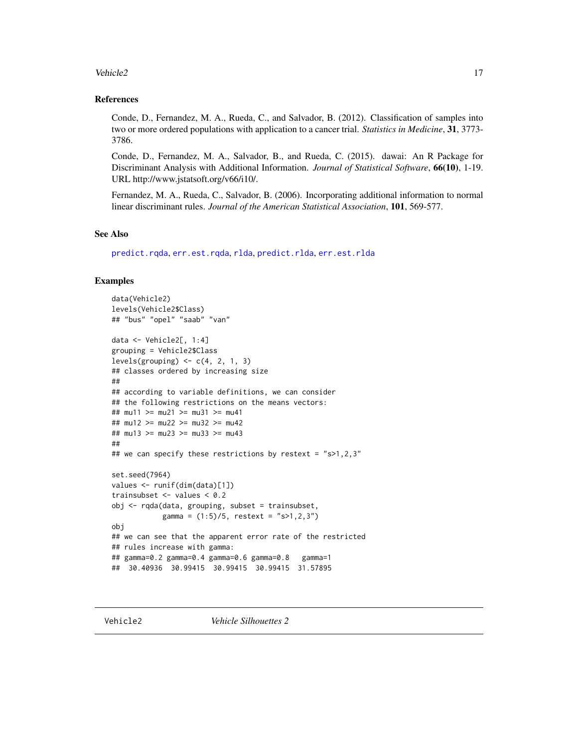#### <span id="page-16-0"></span>Vehicle2 17

# References

Conde, D., Fernandez, M. A., Rueda, C., and Salvador, B. (2012). Classification of samples into two or more ordered populations with application to a cancer trial. *Statistics in Medicine*, 31, 3773- 3786.

Conde, D., Fernandez, M. A., Salvador, B., and Rueda, C. (2015). dawai: An R Package for Discriminant Analysis with Additional Information. *Journal of Statistical Software*, 66(10), 1-19. URL http://www.jstatsoft.org/v66/i10/.

Fernandez, M. A., Rueda, C., Salvador, B. (2006). Incorporating additional information to normal linear discriminant rules. *Journal of the American Statistical Association*, 101, 569-577.

#### See Also

[predict.rqda](#page-8-1), [err.est.rqda](#page-4-1), [rlda](#page-10-1), [predict.rlda](#page-6-1), [err.est.rlda](#page-2-1)

#### Examples

```
data(Vehicle2)
levels(Vehicle2$Class)
## "bus" "opel" "saab" "van"
data <- Vehicle2[, 1:4]
grouping = Vehicle2$Class
levels(grouping) \leq c(4, 2, 1, 3)## classes ordered by increasing size
##
## according to variable definitions, we can consider
## the following restrictions on the means vectors:
## mu11 >= mu21 >= mu31 >= mu41
## mu12 >= mu22 >= mu32 >= mu42
## mu13 >= mu23 >= mu33 >= mu43
##
## we can specify these restrictions by restext = "s>1,2,3"set.seed(7964)
values <- runif(dim(data)[1])
trainsubset <- values < 0.2
obj <- rqda(data, grouping, subset = trainsubset,
            gamma = (1:5)/5, restext = "s>1,2,3")
obj
## we can see that the apparent error rate of the restricted
## rules increase with gamma:
## gamma=0.2 gamma=0.4 gamma=0.6 gamma=0.8 gamma=1
## 30.40936 30.99415 30.99415 30.99415 31.57895
```
Vehicle2 *Vehicle Silhouettes 2*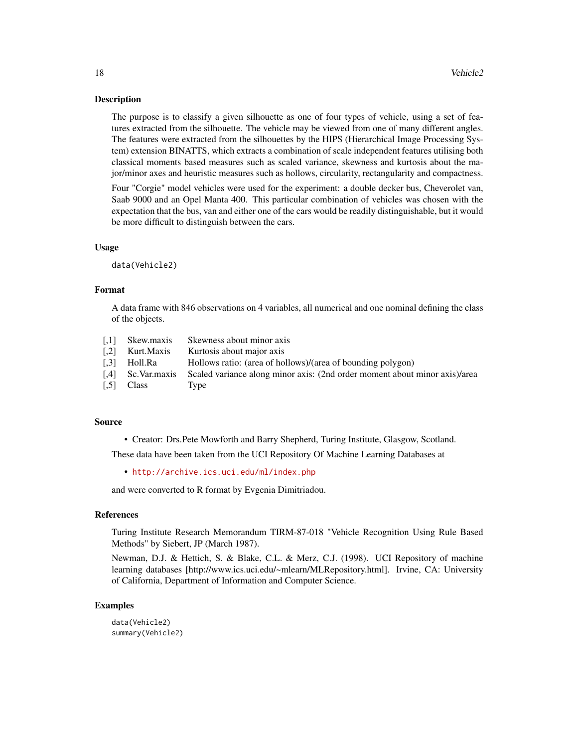The purpose is to classify a given silhouette as one of four types of vehicle, using a set of features extracted from the silhouette. The vehicle may be viewed from one of many different angles. The features were extracted from the silhouettes by the HIPS (Hierarchical Image Processing System) extension BINATTS, which extracts a combination of scale independent features utilising both classical moments based measures such as scaled variance, skewness and kurtosis about the major/minor axes and heuristic measures such as hollows, circularity, rectangularity and compactness.

Four "Corgie" model vehicles were used for the experiment: a double decker bus, Cheverolet van, Saab 9000 and an Opel Manta 400. This particular combination of vehicles was chosen with the expectation that the bus, van and either one of the cars would be readily distinguishable, but it would be more difficult to distinguish between the cars.

#### Usage

data(Vehicle2)

# Format

A data frame with 846 observations on 4 variables, all numerical and one nominal defining the class of the objects.

[,1] Skew.maxis Skewness about minor axis [,2] Kurt.Maxis Kurtosis about major axis<br>[,3] Holl.Ra Hollows ratio: (area of ho [,3] Holl.Ra Hollows ratio: (area of hollows)/(area of bounding polygon) [,4] Sc.Var.maxis Scaled variance along minor axis: (2nd order moment about minor axis)/area [,5] Class Type

### Source

• Creator: Drs.Pete Mowforth and Barry Shepherd, Turing Institute, Glasgow, Scotland.

These data have been taken from the UCI Repository Of Machine Learning Databases at

• <http://archive.ics.uci.edu/ml/index.php>

and were converted to R format by Evgenia Dimitriadou.

#### References

Turing Institute Research Memorandum TIRM-87-018 "Vehicle Recognition Using Rule Based Methods" by Siebert, JP (March 1987).

Newman, D.J. & Hettich, S. & Blake, C.L. & Merz, C.J. (1998). UCI Repository of machine learning databases [http://www.ics.uci.edu/~mlearn/MLRepository.html]. Irvine, CA: University of California, Department of Information and Computer Science.

#### Examples

```
data(Vehicle2)
summary(Vehicle2)
```